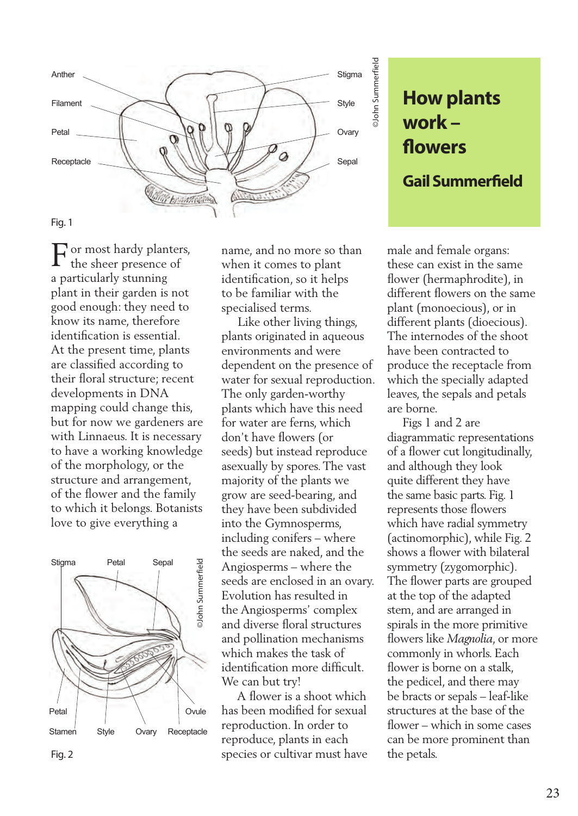

**work – flowers Gail Summerfield**

or most hardy planters, the sheer presence of a particularly stunning plant in their garden is not good enough: they need to know its name, therefore identification is essential. At the present time, plants are classified according to their floral structure; recent developments in DNA mapping could change this, but for now we gardeners are with Linnaeus. It is necessary to have a working knowledge of the morphology, or the structure and arrangement, of the flower and the family to which it belongs. Botanists love to give everything a F



name, and no more so than when it comes to plant identification, so it helps to be familiar with the specialised terms.

 Like other living things, plants originated in aqueous environments and were dependent on the presence of water for sexual reproduction. The only garden-worthy plants which have this need for water are ferns, which don't have flowers (or seeds) but instead reproduce asexually by spores. The vast majority of the plants we grow are seed-bearing, and they have been subdivided into the Gymnosperms, including conifers – where the seeds are naked, and the Angiosperms – where the seeds are enclosed in an ovary. Evolution has resulted in the Angiosperms' complex and diverse floral structures and pollination mechanisms which makes the task of identification more difficult. We can but try!

 A flower is a shoot which has been modified for sexual reproduction. In order to reproduce, plants in each species or cultivar must have

male and female organs: these can exist in the same flower (hermaphrodite), in different flowers on the same plant (monoecious), or in different plants (dioecious). The internodes of the shoot have been contracted to produce the receptacle from which the specially adapted leaves, the sepals and petals are borne.

**How plants**<br> **Work –**<br> **flowers**<br> **Gail Summerfield**<br>
le and female organs:<br>
see can exist in the same<br>
wer (hermaphrodite), in<br>
frerent flowers on the same<br>
herent plants (dioecious), or in<br>
ferent plants (dioecious).<br>
e Figs 1 and 2 are diagrammatic representations of a flower cut longitudinally, and although they look quite different they have the same basic parts. Fig. 1 represents those flowers which have radial symmetry (actinomorphic), while Fig. 2 shows a flower with bilateral symmetry (zygomorphic). The flower parts are grouped at the top of the adapted stem, and are arranged in spirals in the more primitive flowers like *Magnolia*, or more commonly in whorls. Each flower is borne on a stalk, the pedicel, and there may be bracts or sepals – leaf-like structures at the base of the flower – which in some cases can be more prominent than the petals.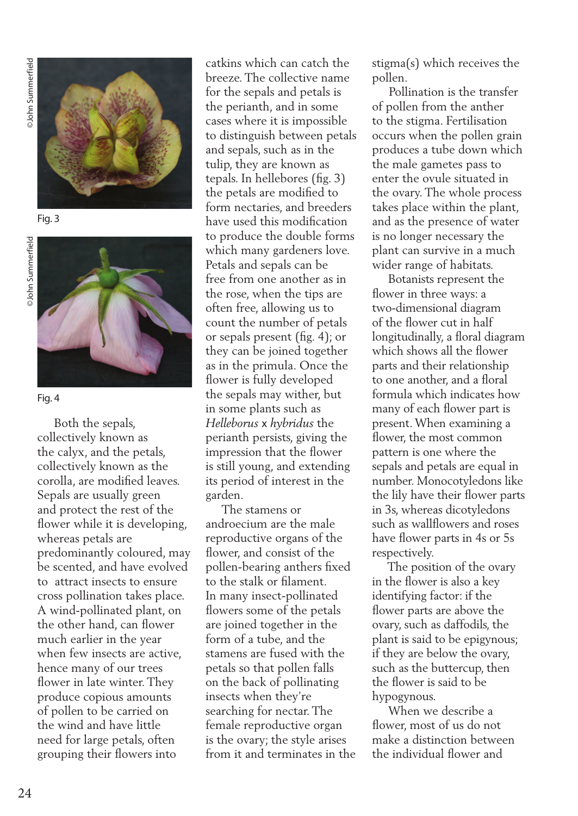**John Summerfield** ©John Summerfield ©John Summerfield



Fig. 3





Fig. 4

 Both the sepals, collectively known as the calyx, and the petals, collectively known as the corolla, are modified leaves. Sepals are usually green and protect the rest of the flower while it is developing, whereas petals are predominantly coloured, may be scented, and have evolved to attract insects to ensure cross pollination takes place. A wind-pollinated plant, on the other hand, can flower much earlier in the year when few insects are active, hence many of our trees flower in late winter. They produce copious amounts of pollen to be carried on the wind and have little need for large petals, often grouping their flowers into

catkins which can catch the breeze. The collective name for the sepals and petals is the perianth, and in some cases where it is impossible to distinguish between petals and sepals, such as in the tulip, they are known as tepals. In hellebores (fig. 3) the petals are modified to form nectaries, and breeders have used this modification to produce the double forms which many gardeners love. Petals and sepals can be free from one another as in the rose, when the tips are often free, allowing us to count the number of petals or sepals present (fig. 4); or they can be joined together as in the primula. Once the flower is fully developed the sepals may wither, but in some plants such as *Helleborus* x *hybridus* the perianth persists, giving the impression that the flower is still young, and extending its period of interest in the garden.

 The stamens or androecium are the male reproductive organs of the flower, and consist of the pollen-bearing anthers fixed to the stalk or filament. In many insect-pollinated flowers some of the petals are joined together in the form of a tube, and the stamens are fused with the petals so that pollen falls on the back of pollinating insects when they're searching for nectar. The female reproductive organ is the ovary; the style arises from it and terminates in the stigma(s) which receives the pollen.

 Pollination is the transfer of pollen from the anther to the stigma. Fertilisation occurs when the pollen grain produces a tube down which the male gametes pass to enter the ovule situated in the ovary. The whole process takes place within the plant, and as the presence of water is no longer necessary the plant can survive in a much wider range of habitats.

 Botanists represent the flower in three ways: a two-dimensional diagram of the flower cut in half longitudinally, a floral diagram which shows all the flower parts and their relationship to one another, and a floral formula which indicates how many of each flower part is present. When examining a flower, the most common pattern is one where the sepals and petals are equal in number. Monocotyledons like the lily have their flower parts in 3s, whereas dicotyledons such as wallflowers and roses have flower parts in 4s or 5s respectively.

 The position of the ovary in the flower is also a key identifying factor: if the flower parts are above the ovary, such as daffodils, the plant is said to be epigynous; if they are below the ovary, such as the buttercup, then the flower is said to be hypogynous.

 When we describe a flower, most of us do not make a distinction between the individual flower and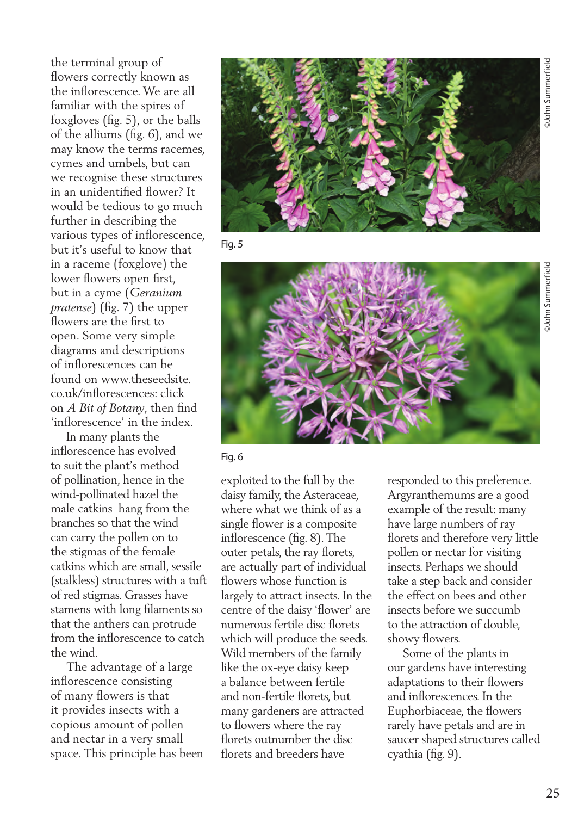the terminal group of flowers correctly known as the inflorescence. We are all familiar with the spires of foxgloves (fig. 5), or the balls of the alliums (fig. 6), and we may know the terms racemes, cymes and umbels, but can we recognise these structures in an unidentified flower? It would be tedious to go much further in describing the various types of inflorescence, but it's useful to know that in a raceme (foxglove) the lower flowers open first, but in a cyme (*Geranium pratense*) (fig. 7) the upper flowers are the first to open. Some very simple diagrams and descriptions of inflorescences can be found on www.theseedsite. co.uk/inflorescences: click on *A Bit of Botany*, then find 'inflorescence' in the index.

 In many plants the inflorescence has evolved to suit the plant's method of pollination, hence in the wind-pollinated hazel the male catkins hang from the branches so that the wind can carry the pollen on to the stigmas of the female catkins which are small, sessile (stalkless) structures with a tuft of red stigmas. Grasses have stamens with long filaments so that the anthers can protrude from the inflorescence to catch the wind.

 The advantage of a large inflorescence consisting of many flowers is that it provides insects with a copious amount of pollen and nectar in a very small space. This principle has been



Fig. 5



Fig. 6

exploited to the full by the daisy family, the Asteraceae, where what we think of as a single flower is a composite inflorescence (fig. 8). The outer petals, the ray florets, are actually part of individual flowers whose function is largely to attract insects. In the centre of the daisy 'flower' are numerous fertile disc florets which will produce the seeds. Wild members of the family like the ox-eye daisy keep a balance between fertile and non-fertile florets, but many gardeners are attracted to flowers where the ray florets outnumber the disc florets and breeders have

responded to this preference. Argyranthemums are a good example of the result: many have large numbers of ray florets and therefore very little pollen or nectar for visiting insects. Perhaps we should take a step back and consider the effect on bees and other insects before we succumb to the attraction of double, showy flowers.

 Some of the plants in our gardens have interesting adaptations to their flowers and inflorescences. In the Euphorbiaceae, the flowers rarely have petals and are in saucer shaped structures called cyathia (fig. 9).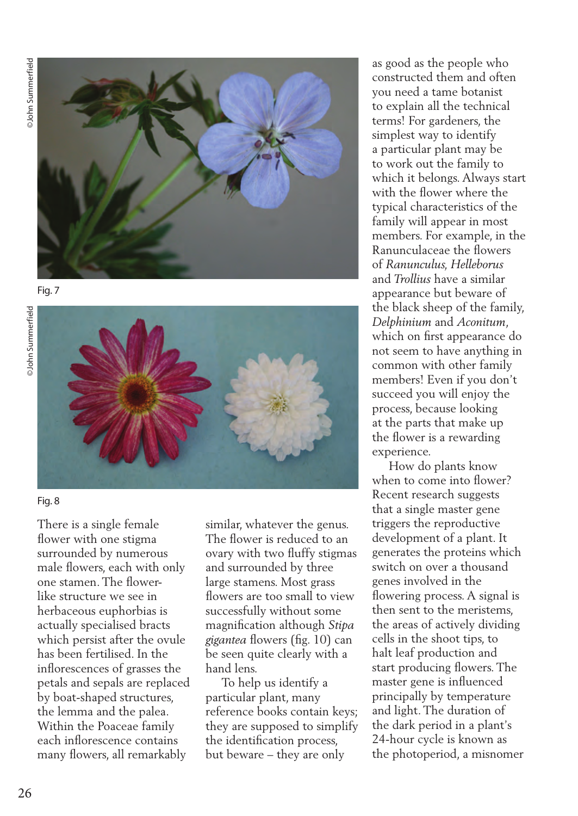©John Summerfield ©John Summerfield **John Summerfield** 







## Fig. 8

There is a single female flower with one stigma surrounded by numerous male flowers, each with only one stamen. The flowerlike structure we see in herbaceous euphorbias is actually specialised bracts which persist after the ovule has been fertilised. In the inflorescences of grasses the petals and sepals are replaced by boat-shaped structures, the lemma and the palea. Within the Poaceae family each inflorescence contains many flowers, all remarkably

similar, whatever the genus. The flower is reduced to an ovary with two fluffy stigmas and surrounded by three large stamens. Most grass flowers are too small to view successfully without some magnification although *Stipa gigantea* flowers (fig. 10) can be seen quite clearly with a hand lens.

 To help us identify a particular plant, many reference books contain keys; they are supposed to simplify the identification process, but beware – they are only

as good as the people who constructed them and often you need a tame botanist to explain all the technical terms! For gardeners, the simplest way to identify a particular plant may be to work out the family to which it belongs. Always start with the flower where the typical characteristics of the family will appear in most members. For example, in the Ranunculaceae the flowers of *Ranunculus, Helleborus*  and *Trollius* have a similar appearance but beware of the black sheep of the family, *Delphinium* and *Aconitum*, which on first appearance do not seem to have anything in common with other family members! Even if you don't succeed you will enjoy the process, because looking at the parts that make up the flower is a rewarding experience.

 How do plants know when to come into flower? Recent research suggests that a single master gene triggers the reproductive development of a plant. It generates the proteins which switch on over a thousand genes involved in the flowering process. A signal is then sent to the meristems, the areas of actively dividing cells in the shoot tips, to halt leaf production and start producing flowers. The master gene is influenced principally by temperature and light. The duration of the dark period in a plant's 24-hour cycle is known as the photoperiod, a misnomer